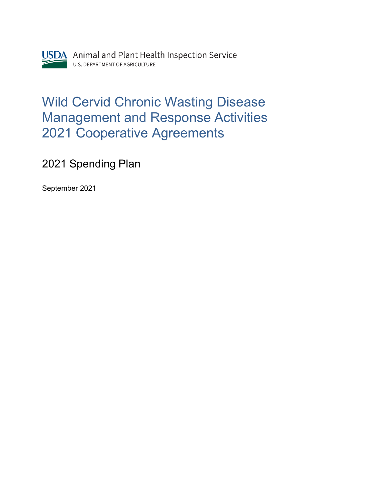

## Wild Cervid Chronic Wasting Disease Management and Response Activities 2021 Cooperative Agreements

2021 Spending Plan

September 2021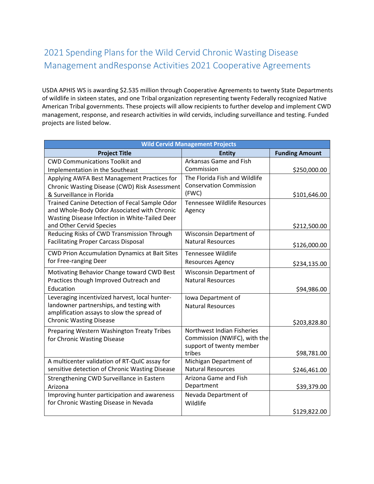## 2021 Spending Plans for the Wild Cervid Chronic Wasting Disease Management andResponse Activities 2021 Cooperative Agreements

 American Tribal governments. These projects will allow recipients to further develop and implement CWD USDA APHIS WS is awarding \$2.535 million through Cooperative Agreements to twenty State Departments of wildlife in sixteen states, and one Tribal organization representing twenty Federally recognized Native management, response, and research activities in wild cervids, including surveillance and testing. Funded projects are listed below.

| <b>Wild Cervid Management Projects</b>                                                    |                                                     |                       |  |
|-------------------------------------------------------------------------------------------|-----------------------------------------------------|-----------------------|--|
| <b>Project Title</b>                                                                      | <b>Entity</b>                                       | <b>Funding Amount</b> |  |
| <b>CWD Communications Toolkit and</b>                                                     | Arkansas Game and Fish                              |                       |  |
| Implementation in the Southeast                                                           | Commission                                          | \$250,000.00          |  |
| Applying AWFA Best Management Practices for                                               | The Florida Fish and Wildlife                       |                       |  |
| Chronic Wasting Disease (CWD) Risk Assessment                                             | <b>Conservation Commission</b>                      |                       |  |
| & Surveillance in Florida                                                                 | (FWC)                                               | \$101,646.00          |  |
| Trained Canine Detection of Fecal Sample Odor                                             | Tennessee Wildlife Resources                        |                       |  |
| and Whole-Body Odor Associated with Chronic                                               | Agency                                              |                       |  |
| Wasting Disease Infection in White-Tailed Deer                                            |                                                     |                       |  |
| and Other Cervid Species                                                                  |                                                     | \$212,500.00          |  |
| Reducing Risks of CWD Transmission Through<br><b>Facilitating Proper Carcass Disposal</b> | Wisconsin Department of<br><b>Natural Resources</b> |                       |  |
|                                                                                           |                                                     | \$126,000.00          |  |
| <b>CWD Prion Accumulation Dynamics at Bait Sites</b>                                      | <b>Tennessee Wildlife</b>                           |                       |  |
| for Free-ranging Deer                                                                     | <b>Resources Agency</b>                             | \$234,135.00          |  |
| Motivating Behavior Change toward CWD Best                                                | Wisconsin Department of                             |                       |  |
| Practices though Improved Outreach and                                                    | <b>Natural Resources</b>                            |                       |  |
| Education                                                                                 |                                                     | \$94,986.00           |  |
| Leveraging incentivized harvest, local hunter-                                            | Iowa Department of                                  |                       |  |
| landowner partnerships, and testing with                                                  | <b>Natural Resources</b>                            |                       |  |
| amplification assays to slow the spread of                                                |                                                     |                       |  |
| <b>Chronic Wasting Disease</b>                                                            |                                                     | \$203,828.80          |  |
| Preparing Western Washington Treaty Tribes                                                | Northwest Indian Fisheries                          |                       |  |
| for Chronic Wasting Disease                                                               | Commission (NWIFC), with the                        |                       |  |
|                                                                                           | support of twenty member                            |                       |  |
| A multicenter validation of RT-QuIC assay for                                             | tribes<br>Michigan Department of                    | \$98,781.00           |  |
| sensitive detection of Chronic Wasting Disease                                            | <b>Natural Resources</b>                            | \$246,461.00          |  |
| Strengthening CWD Surveillance in Eastern                                                 | Arizona Game and Fish                               |                       |  |
| Arizona                                                                                   | Department                                          | \$39,379.00           |  |
| Improving hunter participation and awareness                                              | Nevada Department of                                |                       |  |
| for Chronic Wasting Disease in Nevada                                                     | Wildlife                                            |                       |  |
|                                                                                           |                                                     | \$129,822.00          |  |